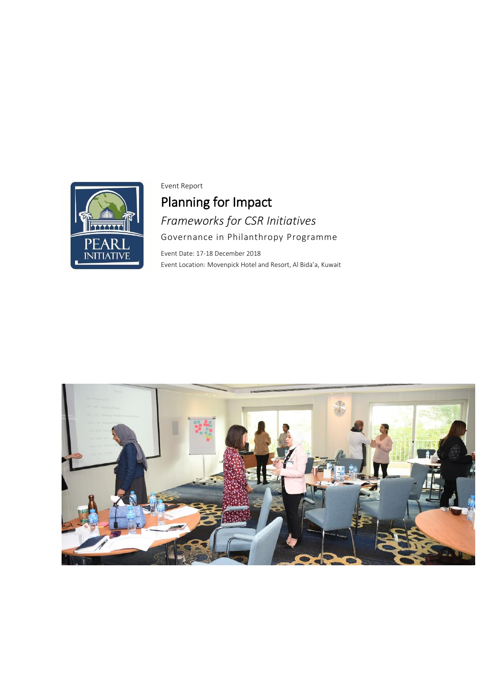

Event Report

Planning for Impact *Frameworks for CSR Initiatives* Governance in Philanthropy Programme

Event Date: 17-18 December 2018 Event Location: Movenpick Hotel and Resort, Al Bida'a, Kuwait

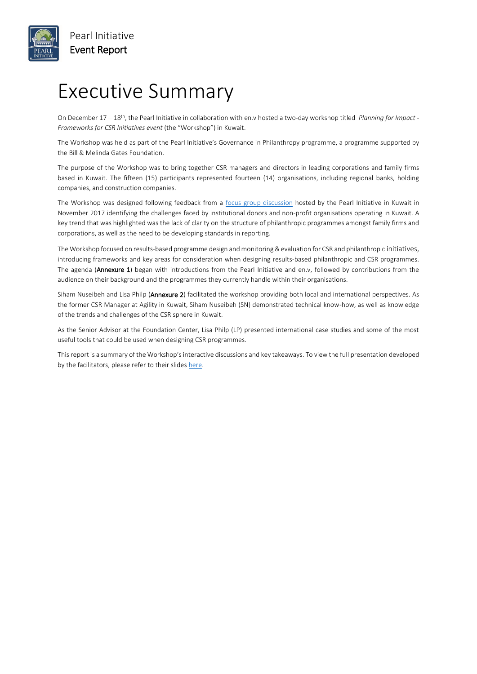

### Executive Summary

On December 17 – 18th, the Pearl Initiative in collaboration with en.v hosted a two-day workshop titled *Planning for Impact - Frameworks for CSR Initiatives event* (the "Workshop") in Kuwait.

The Workshop was held as part of the Pearl Initiative's Governance in Philanthropy programme, a programme supported by the Bill & Melinda Gates Foundation.

The purpose of the Workshop was to bring together CSR managers and directors in leading corporations and family firms based in Kuwait. The fifteen (15) participants represented fourteen (14) organisations, including regional banks, holding companies, and construction companies.

The Workshop was designed following feedback from a [focus group discussion](http://www.pearlinitiative.org/pi_admin/event/viewenpdf?filename=article-20171214054502.pdf) hosted by the Pearl Initiative in Kuwait in November 2017 identifying the challenges faced by institutional donors and non-profit organisations operating in Kuwait. A key trend that was highlighted was the lack of clarity on the structure of philanthropic programmes amongst family firms and corporations, as well as the need to be developing standards in reporting.

The Workshop focused on results-based programme design and monitoring & evaluation for CSR and philanthropic initiatives, introducing frameworks and key areas for consideration when designing results-based philanthropic and CSR programmes. The agenda (Annexure 1) began with introductions from the Pearl Initiative and en.v, followed by contributions from the audience on their background and the programmes they currently handle within their organisations.

Siham Nuseibeh and Lisa Philp (Annexure 2) facilitated the workshop providing both local and international perspectives. As the former CSR Manager at Agility in Kuwait, Siham Nuseibeh (SN) demonstrated technical know-how, as well as knowledge of the trends and challenges of the CSR sphere in Kuwait.

As the Senior Advisor at the Foundation Center, Lisa Philp (LP) presented international case studies and some of the most useful tools that could be used when designing CSR programmes.

This report is a summary of the Workshop's interactive discussions and key takeaways. To view the full presentation developed by the facilitators, please refer to their slide[s here.](http://www.pearlinitiative.org/pi_admin/publications/viewenpdf?filename=article-20190117062711.pdf)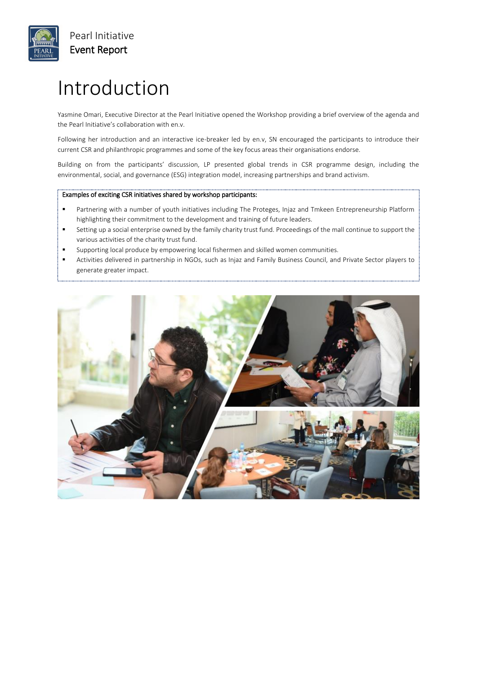

## Introduction

Yasmine Omari, Executive Director at the Pearl Initiative opened the Workshop providing a brief overview of the agenda and the Pearl Initiative's collaboration with en.v.

Following her introduction and an interactive ice-breaker led by en.v, SN encouraged the participants to introduce their current CSR and philanthropic programmes and some of the key focus areas their organisations endorse.

Building on from the participants' discussion, LP presented global trends in CSR programme design, including the environmental, social, and governance (ESG) integration model, increasing partnerships and brand activism.

#### Examples of exciting CSR initiatives shared by workshop participants:

- Partnering with a number of youth initiatives including The Proteges, Injaz and Tmkeen Entrepreneurship Platform highlighting their commitment to the development and training of future leaders.
- Setting up a social enterprise owned by the family charity trust fund. Proceedings of the mall continue to support the various activities of the charity trust fund.
- Supporting local produce by empowering local fishermen and skilled women communities.
- Activities delivered in partnership in NGOs, such as Injaz and Family Business Council, and Private Sector players to generate greater impact.

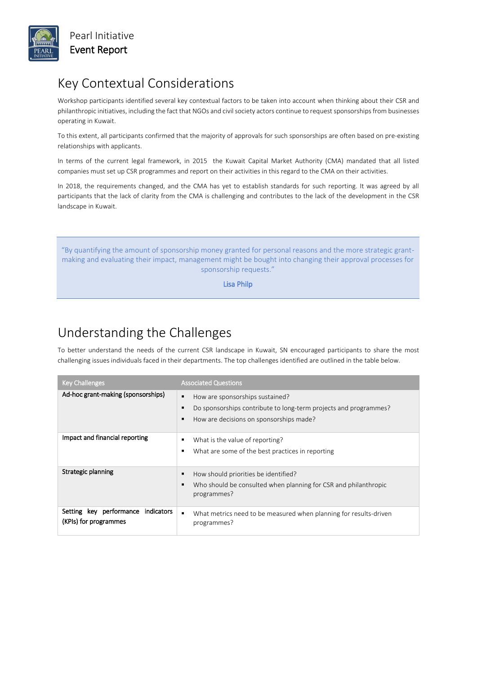

Pearl Initiative Event Report

### Key Contextual Considerations

Workshop participants identified several key contextual factors to be taken into account when thinking about their CSR and philanthropic initiatives, including the fact that NGOs and civil society actors continue to request sponsorships from businesses operating in Kuwait.

To this extent, all participants confirmed that the majority of approvals for such sponsorships are often based on pre-existing relationships with applicants.

In terms of the current legal framework, in 2015 the Kuwait Capital Market Authority (CMA) mandated that all listed companies must set up CSR programmes and report on their activities in this regard to the CMA on their activities.

In 2018, the requirements changed, and the CMA has yet to establish standards for such reporting. It was agreed by all participants that the lack of clarity from the CMA is challenging and contributes to the lack of the development in the CSR landscape in Kuwait.

"By quantifying the amount of sponsorship money granted for personal reasons and the more strategic grantmaking and evaluating their impact, management might be bought into changing their approval processes for sponsorship requests."

Lisa Philp

### Understanding the Challenges

To better understand the needs of the current CSR landscape in Kuwait, SN encouraged participants to share the most challenging issues individuals faced in their departments. The top challenges identified are outlined in the table below.

| <b>Key Challenges</b>                                       | <b>Associated Questions</b>                                                                                                                                           |
|-------------------------------------------------------------|-----------------------------------------------------------------------------------------------------------------------------------------------------------------------|
| Ad-hoc grant-making (sponsorships)                          | How are sponsorships sustained?<br>٠<br>Do sponsorships contribute to long-term projects and programmes?<br>$\blacksquare$<br>How are decisions on sponsorships made? |
| Impact and financial reporting                              | What is the value of reporting?<br>٠<br>What are some of the best practices in reporting<br>٠                                                                         |
| Strategic planning                                          | How should priorities be identified?<br>Who should be consulted when planning for CSR and philanthropic<br>٠<br>programmes?                                           |
| Setting key performance indicators<br>(KPIs) for programmes | What metrics need to be measured when planning for results-driven<br>٠<br>programmes?                                                                                 |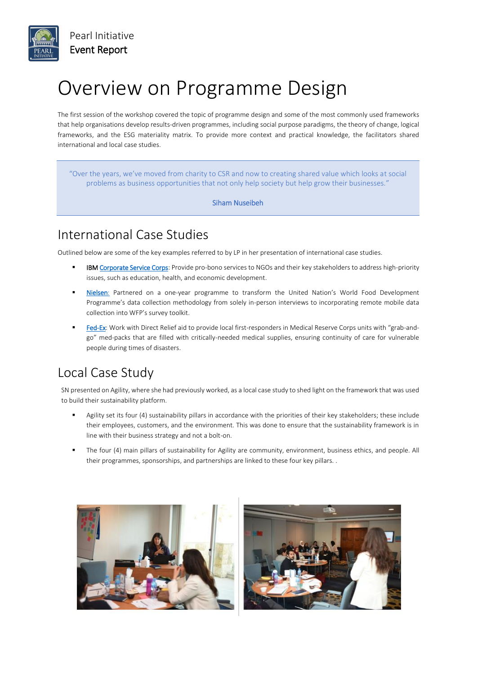

## Overview on Programme Design

The first session of the workshop covered the topic of programme design and some of the most commonly used frameworks that help organisations develop results-driven programmes, including social purpose paradigms, the theory of change, logical frameworks, and the ESG materiality matrix. To provide more context and practical knowledge, the facilitators shared international and local case studies.

"Over the years, we've moved from charity to CSR and now to creating shared value which looks at social problems as business opportunities that not only help society but help grow their businesses."

Siham Nuseibeh

### International Case Studies

Outlined below are some of the key examples referred to by LP in her presentation of international case studies.

- IB[M Corporate Service Corps:](https://www.ibm.com/ibm/responsibility/corporateservicecorps/#details) Provide pro-bono services to NGOs and their key stakeholders to address high-priority issues, such as education, health, and economic development.
- [Nielsen:](https://www.wfp.org/content/revolutionizing-data-collection-world-food-programme-nielsen-scalable-mobile-surveys-jun-2015) Partnered on a one-year programme to transform the United Nation's World Food Development Programme's data collection methodology from solely in-person interviews to incorporating remote mobile data collection into WFP's survey toolkit.
- [Fed-Ex:](https://www.directrelief.org/partnership/fedex/) Work with Direct Relief aid to provide local first-responders in Medical Reserve Corps units with "grab-andgo" med-packs that are filled with critically-needed medical supplies, ensuring continuity of care for vulnerable people during times of disasters.

### Local Case Study

SN presented on Agility, where she had previously worked, as a local case study to shed light on the framework that was used to build their sustainability platform.

- Agility set its four (4) sustainability pillars in accordance with the priorities of their key stakeholders; these include their employees, customers, and the environment. This was done to ensure that the sustainability framework is in line with their business strategy and not a bolt-on.
- The four (4) main pillars of sustainability for Agility are community, environment, business ethics, and people. All their programmes, sponsorships, and partnerships are linked to these four key pillars. .



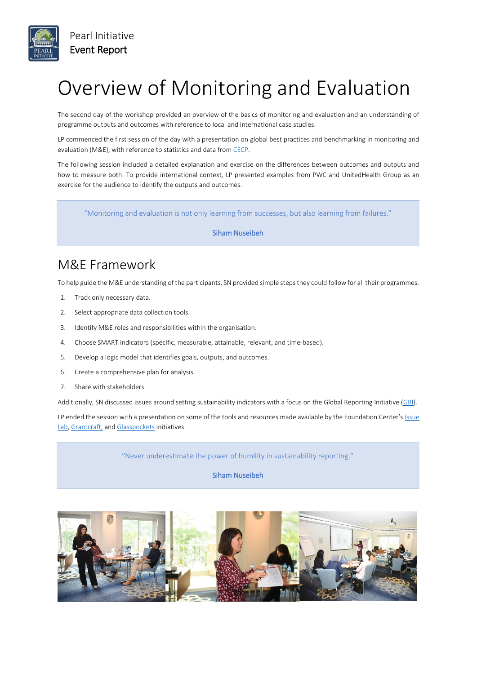

# Overview of Monitoring and Evaluation

The second day of the workshop provided an overview of the basics of monitoring and evaluation and an understanding of programme outputs and outcomes with reference to local and international case studies.

LP commenced the first session of the day with a presentation on global best practices and benchmarking in monitoring and evaluation (M&E), with reference to statistics and data fro[m CECP.](http://cecp.co/)

The following session included a detailed explanation and exercise on the differences between outcomes and outputs and how to measure both. To provide international context, LP presented examples from PWC and UnitedHealth Group as an exercise for the audience to identify the outputs and outcomes.

"Monitoring and evaluation is not only learning from successes, but also learning from failures."

#### Siham Nuseibeh

#### M&E Framework

To help guide the M&E understanding of the participants, SN provided simple steps they could follow for all their programmes.

- 1. Track only necessary data.
- 2. Select appropriate data collection tools.
- 3. Identify M&E roles and responsibilities within the organisation.
- 4. Choose SMART indicators (specific, measurable, attainable, relevant, and time-based).
- 5. Develop a logic model that identifies goals, outputs, and outcomes.
- 6. Create a comprehensive plan for analysis.
- 7. Share with stakeholders.

Additionally, SN discussed issues around setting sustainability indicators with a focus on the Global Reporting Initiative [\(GRI\)](https://www.globalreporting.org/Pages/default.aspx).

LP ended the session with a presentation on some of the tools and resources made available by the Foundation Center's [Issue](https://www.issuelab.org/)  [Lab,](https://www.issuelab.org/) [Grantcraft,](http://www.grantcraft.org/) an[d Glasspockets](http://glasspockets.org/) initiatives.

"Never underestimate the power of humility in sustainability reporting."

Siham Nuseibeh

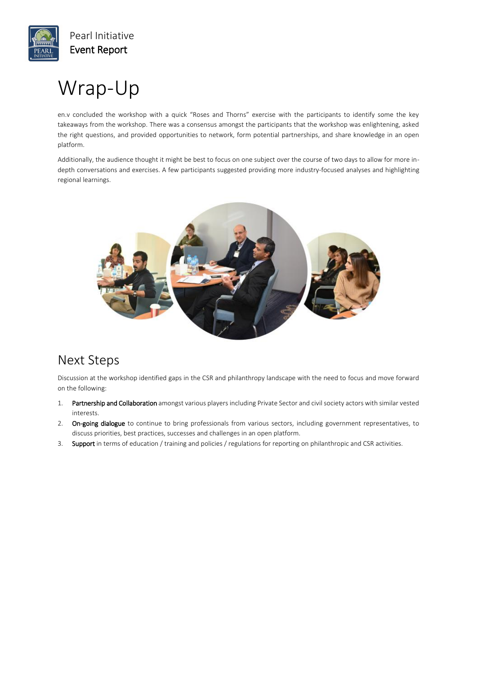

## Wrap-Up

en.v concluded the workshop with a quick "Roses and Thorns" exercise with the participants to identify some the key takeaways from the workshop. There was a consensus amongst the participants that the workshop was enlightening, asked the right questions, and provided opportunities to network, form potential partnerships, and share knowledge in an open platform.

Additionally, the audience thought it might be best to focus on one subject over the course of two days to allow for more indepth conversations and exercises. A few participants suggested providing more industry-focused analyses and highlighting regional learnings.



### Next Steps

Discussion at the workshop identified gaps in the CSR and philanthropy landscape with the need to focus and move forward on the following:

- 1. Partnership and Collaboration amongst various players including Private Sector and civil society actors with similar vested interests.
- 2. On-going dialogue to continue to bring professionals from various sectors, including government representatives, to discuss priorities, best practices, successes and challenges in an open platform.
- 3. Support in terms of education / training and policies / regulations for reporting on philanthropic and CSR activities.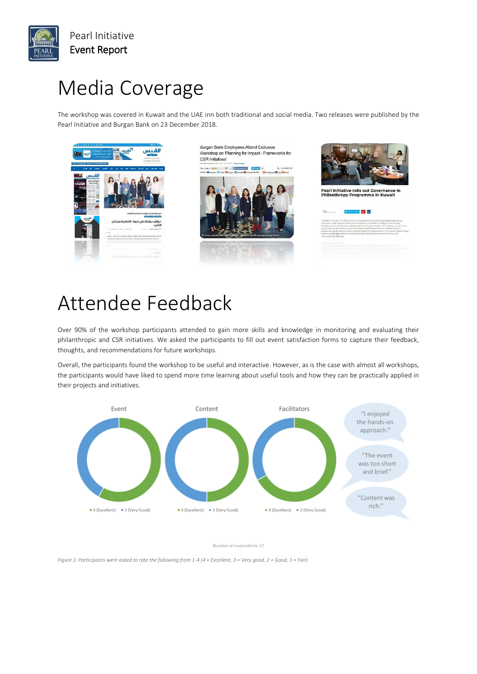

Pearl Initiative Event Report

## Media Coverage

The workshop was covered in Kuwait and the UAE inn both traditional and social media. Two releases were published by the Pearl Initiative and Burgan Bank on 23 December 2018.









 $G = \ln$ 

### A[ttendee Fe](https://alqabas.com/617949/)edback

Over 90% of the workshop participants attended to gain more skills and knowledge i[n monitoring and evaluating th](https://menafn.com/1097873194/Pearl-Initiative-rolls-out-Governance-in-Philanthropy-Programme-in-Kuwait)eir philanthropic and CSR initiatives. We asked the participants to fill out event satisfaction forms to capture their feedback, thoughts, and recommendations for future workshops.

Overall, the participants found the workshop to be useful and interactive. However, as is the case with almost all workshops, the participants would have liked to spend more time learning about useful tools and how they can be practically applied in their projects and initiatives.



Number of respondents: 12

*Figure 1: Participants were asked to rate the following from 1-4 (4 = Excellent, 3 = Very good, 2 = Good, 1 = Fair)*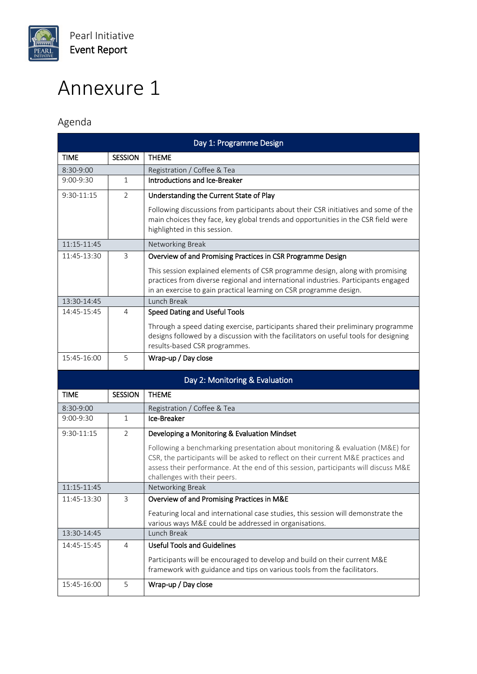

# Annexure 1

#### Agenda

| Day 1: Programme Design |                |                                                                                                                                                                                                                                                                                           |
|-------------------------|----------------|-------------------------------------------------------------------------------------------------------------------------------------------------------------------------------------------------------------------------------------------------------------------------------------------|
| <b>TIME</b>             | <b>SESSION</b> | <b>THEME</b>                                                                                                                                                                                                                                                                              |
| 8:30-9:00               |                | Registration / Coffee & Tea                                                                                                                                                                                                                                                               |
| $9:00 - 9:30$           | 1              | Introductions and Ice-Breaker                                                                                                                                                                                                                                                             |
| 9:30-11:15              | $\overline{2}$ | Understanding the Current State of Play                                                                                                                                                                                                                                                   |
|                         |                | Following discussions from participants about their CSR initiatives and some of the<br>main choices they face, key global trends and opportunities in the CSR field were<br>highlighted in this session.                                                                                  |
| 11:15-11:45             |                | Networking Break                                                                                                                                                                                                                                                                          |
| 11:45-13:30             | 3              | Overview of and Promising Practices in CSR Programme Design                                                                                                                                                                                                                               |
|                         |                | This session explained elements of CSR programme design, along with promising<br>practices from diverse regional and international industries. Participants engaged<br>in an exercise to gain practical learning on CSR programme design.                                                 |
| 13:30-14:45             |                | Lunch Break                                                                                                                                                                                                                                                                               |
| 14:45-15:45             | 4              | Speed Dating and Useful Tools                                                                                                                                                                                                                                                             |
|                         |                | Through a speed dating exercise, participants shared their preliminary programme<br>designs followed by a discussion with the facilitators on useful tools for designing<br>results-based CSR programmes.                                                                                 |
| 15:45-16:00             | 5              | Wrap-up / Day close                                                                                                                                                                                                                                                                       |
|                         |                | Day 2: Monitoring & Evaluation                                                                                                                                                                                                                                                            |
| <b>TIME</b>             | <b>SESSION</b> | <b>THEME</b>                                                                                                                                                                                                                                                                              |
| 8:30-9:00               |                | Registration / Coffee & Tea                                                                                                                                                                                                                                                               |
| 9:00-9:30               | $\mathbf{1}$   | Ice-Breaker                                                                                                                                                                                                                                                                               |
| 9:30-11:15              | $\overline{2}$ | Developing a Monitoring & Evaluation Mindset                                                                                                                                                                                                                                              |
|                         |                | Following a benchmarking presentation about monitoring & evaluation (M&E) for<br>CSR, the participants will be asked to reflect on their current M&E practices and<br>assess their performance. At the end of this session, participants will discuss M&E<br>challenges with their peers. |
| 11:15-11:45             |                | Networking Break                                                                                                                                                                                                                                                                          |
| 11:45-13:30             | 3              | Overview of and Promising Practices in M&E                                                                                                                                                                                                                                                |
|                         |                | Featuring local and international case studies, this session will demonstrate the<br>various ways M&E could be addressed in organisations.                                                                                                                                                |
| 13:30-14:45             |                | Lunch Break                                                                                                                                                                                                                                                                               |
| 14:45-15:45             | 4              | <b>Useful Tools and Guidelines</b>                                                                                                                                                                                                                                                        |
|                         |                | Participants will be encouraged to develop and build on their current M&E                                                                                                                                                                                                                 |
|                         |                | framework with guidance and tips on various tools from the facilitators.                                                                                                                                                                                                                  |